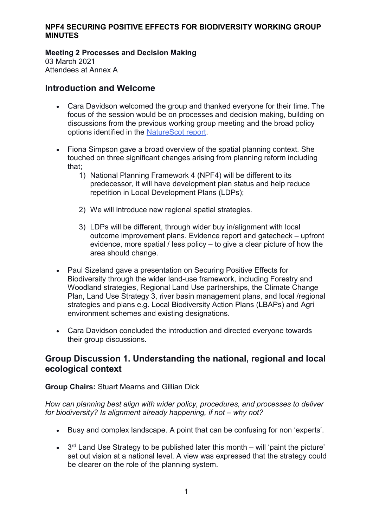### Meeting 2 Processes and Decision Making

03 March 2021 Attendees at Annex A

# Introduction and Welcome

- Cara Davidson welcomed the group and thanked everyone for their time. The focus of the session would be on processes and decision making, building on discussions from the previous working group meeting and the broad policy options identified in the NatureScot report.
- Fiona Simpson gave a broad overview of the spatial planning context. She touched on three significant changes arising from planning reform including that;
	- 1) National Planning Framework 4 (NPF4) will be different to its predecessor, it will have development plan status and help reduce repetition in Local Development Plans (LDPs);
	- 2) We will introduce new regional spatial strategies.
	- 3) LDPs will be different, through wider buy in/alignment with local outcome improvement plans. Evidence report and gatecheck – upfront evidence, more spatial / less policy – to give a clear picture of how the area should change.
- Paul Sizeland gave a presentation on Securing Positive Effects for Biodiversity through the wider land-use framework, including Forestry and Woodland strategies, Regional Land Use partnerships, the Climate Change Plan, Land Use Strategy 3, river basin management plans, and local /regional strategies and plans e.g. Local Biodiversity Action Plans (LBAPs) and Agri environment schemes and existing designations.
- Cara Davidson concluded the introduction and directed everyone towards their group discussions.

# Group Discussion 1. Understanding the national, regional and local ecological context

# Group Chairs: Stuart Mearns and Gillian Dick

How can planning best align with wider policy, procedures, and processes to deliver for biodiversity? Is alignment already happening, if not – why not?

- Busy and complex landscape. A point that can be confusing for non 'experts'.
- $\bullet$  3<sup>rd</sup> Land Use Strategy to be published later this month will 'paint the picture' set out vision at a national level. A view was expressed that the strategy could be clearer on the role of the planning system.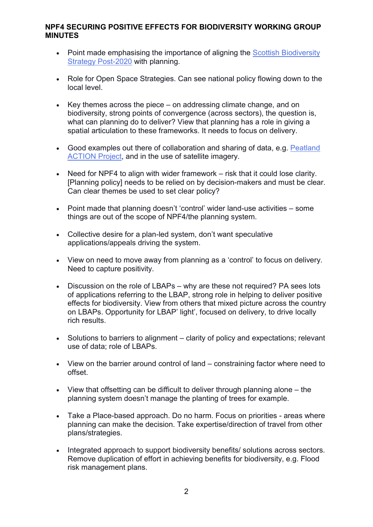- Point made emphasising the importance of aligning the Scottish Biodiversity Strategy Post-2020 with planning.
- Role for Open Space Strategies. Can see national policy flowing down to the local level.
- $\cdot$  Key themes across the piece on addressing climate change, and on biodiversity, strong points of convergence (across sectors), the question is, what can planning do to deliver? View that planning has a role in giving a spatial articulation to these frameworks. It needs to focus on delivery.
- Good examples out there of collaboration and sharing of data, e.g. Peatland ACTION Project, and in the use of satellite imagery.
- Need for NPF4 to align with wider framework risk that it could lose clarity. [Planning policy] needs to be relied on by decision-makers and must be clear. Can clear themes be used to set clear policy?
- Point made that planning doesn't 'control' wider land-use activities some things are out of the scope of NPF4/the planning system.
- Collective desire for a plan-led system, don't want speculative applications/appeals driving the system.
- View on need to move away from planning as a 'control' to focus on delivery. Need to capture positivity.
- Discussion on the role of LBAPs why are these not required? PA sees lots of applications referring to the LBAP, strong role in helping to deliver positive effects for biodiversity. View from others that mixed picture across the country on LBAPs. Opportunity for LBAP' light', focused on delivery, to drive locally rich results.
- Solutions to barriers to alignment clarity of policy and expectations; relevant use of data; role of LBAPs.
- View on the barrier around control of land constraining factor where need to offset.
- View that offsetting can be difficult to deliver through planning alone the planning system doesn't manage the planting of trees for example.
- Take a Place-based approach. Do no harm. Focus on priorities areas where planning can make the decision. Take expertise/direction of travel from other plans/strategies.
- Integrated approach to support biodiversity benefits/ solutions across sectors. Remove duplication of effort in achieving benefits for biodiversity, e.g. Flood risk management plans.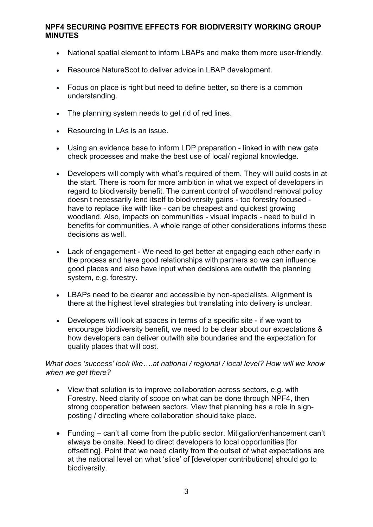- National spatial element to inform LBAPs and make them more user-friendly.
- Resource NatureScot to deliver advice in LBAP development.
- Focus on place is right but need to define better, so there is a common understanding.
- The planning system needs to get rid of red lines.
- Resourcing in LAs is an issue.
- Using an evidence base to inform LDP preparation linked in with new gate check processes and make the best use of local/ regional knowledge.
- Developers will comply with what's required of them. They will build costs in at the start. There is room for more ambition in what we expect of developers in regard to biodiversity benefit. The current control of woodland removal policy doesn't necessarily lend itself to biodiversity gains - too forestry focused have to replace like with like - can be cheapest and quickest growing woodland. Also, impacts on communities - visual impacts - need to build in benefits for communities. A whole range of other considerations informs these decisions as well.
- Lack of engagement We need to get better at engaging each other early in the process and have good relationships with partners so we can influence good places and also have input when decisions are outwith the planning system, e.g. forestry.
- LBAPs need to be clearer and accessible by non-specialists. Alignment is there at the highest level strategies but translating into delivery is unclear.
- Developers will look at spaces in terms of a specific site if we want to encourage biodiversity benefit, we need to be clear about our expectations & how developers can deliver outwith site boundaries and the expectation for quality places that will cost.

### What does 'success' look like....at national / regional / local level? How will we know when we get there?

- View that solution is to improve collaboration across sectors, e.g. with Forestry. Need clarity of scope on what can be done through NPF4, then strong cooperation between sectors. View that planning has a role in signposting / directing where collaboration should take place.
- Funding can't all come from the public sector. Mitigation/enhancement can't always be onsite. Need to direct developers to local opportunities [for offsetting]. Point that we need clarity from the outset of what expectations are at the national level on what 'slice' of [developer contributions] should go to biodiversity.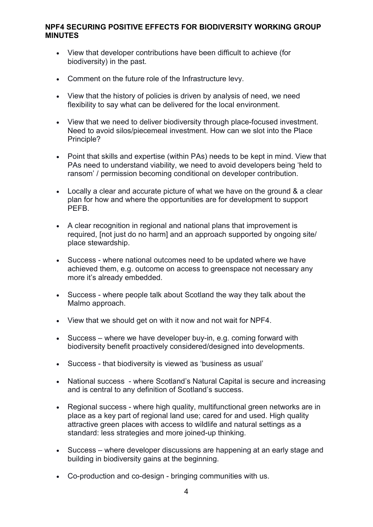- View that developer contributions have been difficult to achieve (for biodiversity) in the past.
- Comment on the future role of the Infrastructure levy.
- View that the history of policies is driven by analysis of need, we need flexibility to say what can be delivered for the local environment.
- View that we need to deliver biodiversity through place-focused investment. Need to avoid silos/piecemeal investment. How can we slot into the Place Principle?
- Point that skills and expertise (within PAs) needs to be kept in mind. View that PAs need to understand viability, we need to avoid developers being 'held to ransom' / permission becoming conditional on developer contribution.
- Locally a clear and accurate picture of what we have on the ground & a clear plan for how and where the opportunities are for development to support PEFB.
- A clear recognition in regional and national plans that improvement is required, [not just do no harm] and an approach supported by ongoing site/ place stewardship.
- Success where national outcomes need to be updated where we have achieved them, e.g. outcome on access to greenspace not necessary any more it's already embedded.
- Success where people talk about Scotland the way they talk about the Malmo approach.
- View that we should get on with it now and not wait for NPF4.
- Success where we have developer buy-in, e.g. coming forward with biodiversity benefit proactively considered/designed into developments.
- Success that biodiversity is viewed as 'business as usual'
- National success where Scotland's Natural Capital is secure and increasing and is central to any definition of Scotland's success.
- Regional success where high quality, multifunctional green networks are in place as a key part of regional land use; cared for and used. High quality attractive green places with access to wildlife and natural settings as a standard: less strategies and more joined-up thinking.
- Success where developer discussions are happening at an early stage and building in biodiversity gains at the beginning.
- Co-production and co-design bringing communities with us.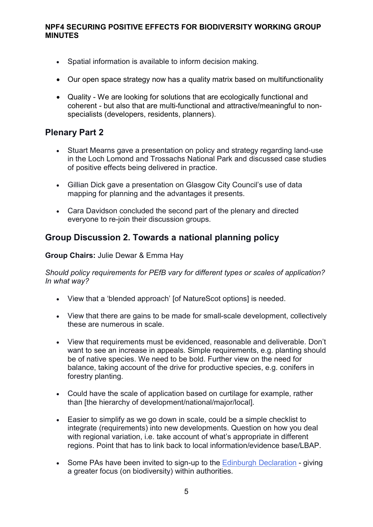- Spatial information is available to inform decision making.
- Our open space strategy now has a quality matrix based on multifunctionality
- Quality We are looking for solutions that are ecologically functional and coherent - but also that are multi-functional and attractive/meaningful to nonspecialists (developers, residents, planners).

# Plenary Part 2

- Stuart Mearns gave a presentation on policy and strategy regarding land-use in the Loch Lomond and Trossachs National Park and discussed case studies of positive effects being delivered in practice.
- Gillian Dick gave a presentation on Glasgow City Council's use of data mapping for planning and the advantages it presents.
- Cara Davidson concluded the second part of the plenary and directed everyone to re-join their discussion groups.

# Group Discussion 2. Towards a national planning policy

#### Group Chairs: Julie Dewar & Emma Hay

Should policy requirements for PEfB vary for different types or scales of application? In what way?

- View that a 'blended approach' [of NatureScot options] is needed.
- View that there are gains to be made for small-scale development, collectively these are numerous in scale.
- View that requirements must be evidenced, reasonable and deliverable. Don't want to see an increase in appeals. Simple requirements, e.g. planting should be of native species. We need to be bold. Further view on the need for balance, taking account of the drive for productive species, e.g. conifers in forestry planting.
- Could have the scale of application based on curtilage for example, rather than [the hierarchy of development/national/major/local].
- Easier to simplify as we go down in scale, could be a simple checklist to integrate (requirements) into new developments. Question on how you deal with regional variation, i.e. take account of what's appropriate in different regions. Point that has to link back to local information/evidence base/LBAP.
- Some PAs have been invited to sign-up to the Edinburgh Declaration giving a greater focus (on biodiversity) within authorities.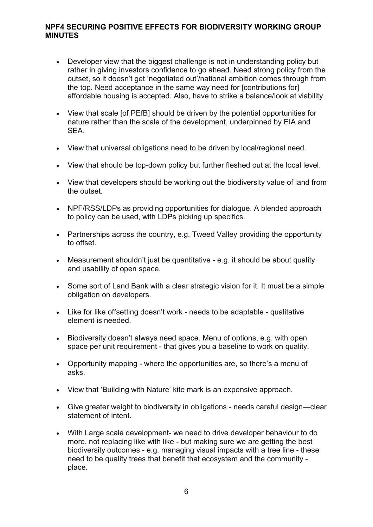- Developer view that the biggest challenge is not in understanding policy but rather in giving investors confidence to go ahead. Need strong policy from the outset, so it doesn't get 'negotiated out'/national ambition comes through from the top. Need acceptance in the same way need for [contributions for] affordable housing is accepted. Also, have to strike a balance/look at viability.
- View that scale [of PEfB] should be driven by the potential opportunities for nature rather than the scale of the development, underpinned by EIA and SEA.
- View that universal obligations need to be driven by local/regional need.
- View that should be top-down policy but further fleshed out at the local level.
- View that developers should be working out the biodiversity value of land from the outset.
- NPF/RSS/LDPs as providing opportunities for dialogue. A blended approach to policy can be used, with LDPs picking up specifics.
- Partnerships across the country, e.g. Tweed Valley providing the opportunity to offset.
- Measurement shouldn't just be quantitative e.g. it should be about quality and usability of open space.
- Some sort of Land Bank with a clear strategic vision for it. It must be a simple obligation on developers.
- Like for like offsetting doesn't work needs to be adaptable qualitative element is needed.
- Biodiversity doesn't always need space. Menu of options, e.g. with open space per unit requirement - that gives you a baseline to work on quality.
- Opportunity mapping where the opportunities are, so there's a menu of asks.
- View that 'Building with Nature' kite mark is an expensive approach.
- Give greater weight to biodiversity in obligations needs careful design—clear statement of intent.
- With Large scale development- we need to drive developer behaviour to do more, not replacing like with like - but making sure we are getting the best biodiversity outcomes - e.g. managing visual impacts with a tree line - these need to be quality trees that benefit that ecosystem and the community place.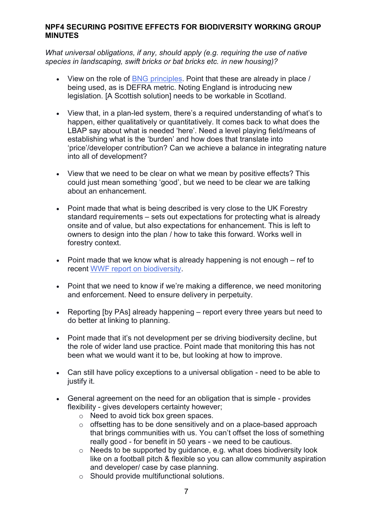What universal obligations, if any, should apply (e.g. requiring the use of native species in landscaping, swift bricks or bat bricks etc. in new housing)?

- View on the role of BNG principles. Point that these are already in place / being used, as is DEFRA metric. Noting England is introducing new legislation. [A Scottish solution] needs to be workable in Scotland.
- View that, in a plan-led system, there's a required understanding of what's to happen, either qualitatively or quantitatively. It comes back to what does the LBAP say about what is needed 'here'. Need a level playing field/means of establishing what is the 'burden' and how does that translate into 'price'/developer contribution? Can we achieve a balance in integrating nature into all of development?
- View that we need to be clear on what we mean by positive effects? This could just mean something 'good', but we need to be clear we are talking about an enhancement.
- Point made that what is being described is very close to the UK Forestry standard requirements – sets out expectations for protecting what is already onsite and of value, but also expectations for enhancement. This is left to owners to design into the plan / how to take this forward. Works well in forestry context.
- Point made that we know what is already happening is not enough ref to recent WWF report on biodiversity.
- Point that we need to know if we're making a difference, we need monitoring and enforcement. Need to ensure delivery in perpetuity.
- Reporting [by PAs] already happening report every three years but need to do better at linking to planning.
- Point made that it's not development per se driving biodiversity decline, but the role of wider land use practice. Point made that monitoring this has not been what we would want it to be, but looking at how to improve.
- Can still have policy exceptions to a universal obligation need to be able to justify it.
- General agreement on the need for an obligation that is simple provides flexibility - gives developers certainty however;
	- o Need to avoid tick box green spaces.
	- o offsetting has to be done sensitively and on a place-based approach that brings communities with us. You can't offset the loss of something really good - for benefit in 50 years - we need to be cautious.
	- $\circ$  Needs to be supported by quidance, e.g. what does biodiversity look like on a football pitch & flexible so you can allow community aspiration and developer/ case by case planning.
	- o Should provide multifunctional solutions.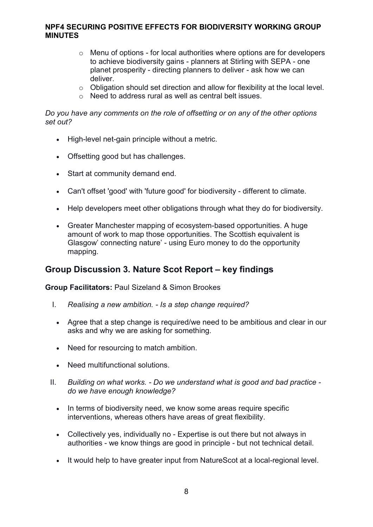- o Menu of options for local authorities where options are for developers to achieve biodiversity gains - planners at Stirling with SEPA - one planet prosperity - directing planners to deliver - ask how we can deliver.
- $\circ$  Obligation should set direction and allow for flexibility at the local level.
- o Need to address rural as well as central belt issues.

#### Do you have any comments on the role of offsetting or on any of the other options set out?

- High-level net-gain principle without a metric.
- Offsetting good but has challenges.
- Start at community demand end.
- Can't offset 'good' with 'future good' for biodiversity different to climate.
- Help developers meet other obligations through what they do for biodiversity.
- Greater Manchester mapping of ecosystem-based opportunities. A huge amount of work to map those opportunities. The Scottish equivalent is Glasgow' connecting nature' - using Euro money to do the opportunity mapping.

# Group Discussion 3. Nature Scot Report – key findings

#### Group Facilitators: Paul Sizeland & Simon Brookes

- I. Realising a new ambition. Is a step change required?
	- Agree that a step change is required/we need to be ambitious and clear in our asks and why we are asking for something.
	- Need for resourcing to match ambition.
	- Need multifunctional solutions.
- II. Building on what works. Do we understand what is good and bad practice do we have enough knowledge?
	- In terms of biodiversity need, we know some areas require specific interventions, whereas others have areas of great flexibility.
	- Collectively yes, individually no Expertise is out there but not always in authorities - we know things are good in principle - but not technical detail.
	- It would help to have greater input from NatureScot at a local-regional level.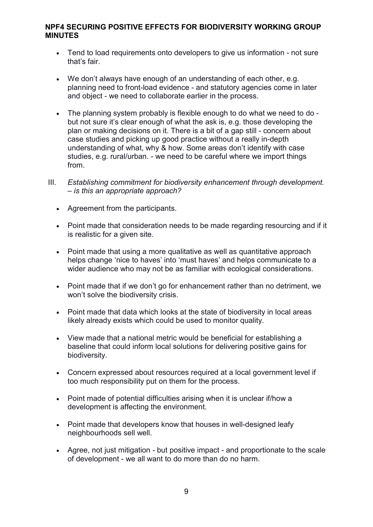- Tend to load requirements onto developers to give us information not sure that's fair.
- We don't always have enough of an understanding of each other, e.g. planning need to front-load evidence - and statutory agencies come in later and object - we need to collaborate earlier in the process.
- The planning system probably is flexible enough to do what we need to do but not sure it's clear enough of what the ask is, e.g. those developing the plan or making decisions on it. There is a bit of a gap still - concern about case studies and picking up good practice without a really in-depth understanding of what, why & how. Some areas don't identify with case studies, e.g. rural/urban. - we need to be careful where we import things from.
- III. Establishing commitment for biodiversity enhancement through development. – is this an appropriate approach?
	- Agreement from the participants.
	- Point made that consideration needs to be made regarding resourcing and if it is realistic for a given site.
	- Point made that using a more qualitative as well as quantitative approach helps change 'nice to haves' into 'must haves' and helps communicate to a wider audience who may not be as familiar with ecological considerations.
	- Point made that if we don't go for enhancement rather than no detriment, we won't solve the biodiversity crisis.
	- Point made that data which looks at the state of biodiversity in local areas likely already exists which could be used to monitor quality.
	- View made that a national metric would be beneficial for establishing a baseline that could inform local solutions for delivering positive gains for biodiversity.
	- Concern expressed about resources required at a local government level if too much responsibility put on them for the process.
	- Point made of potential difficulties arising when it is unclear if/how a development is affecting the environment.
	- Point made that developers know that houses in well-designed leafy neighbourhoods sell well.
	- Agree, not just mitigation but positive impact and proportionate to the scale of development - we all want to do more than do no harm.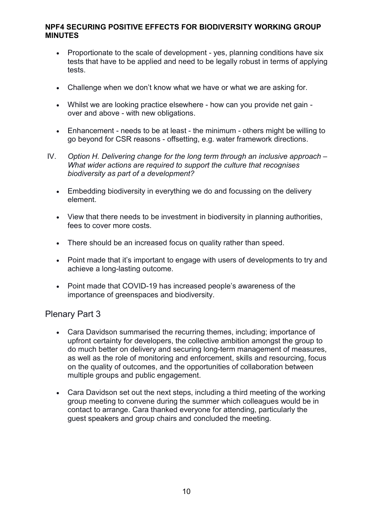- Proportionate to the scale of development yes, planning conditions have six tests that have to be applied and need to be legally robust in terms of applying tests.
- Challenge when we don't know what we have or what we are asking for.
- Whilst we are looking practice elsewhere how can you provide net gain over and above - with new obligations.
- Enhancement needs to be at least the minimum others might be willing to go beyond for CSR reasons - offsetting, e.g. water framework directions.
- IV. Option H. Delivering change for the long term through an inclusive approach What wider actions are required to support the culture that recognises biodiversity as part of a development?
	- Embedding biodiversity in everything we do and focussing on the delivery element.
	- View that there needs to be investment in biodiversity in planning authorities, fees to cover more costs.
	- There should be an increased focus on quality rather than speed.
	- Point made that it's important to engage with users of developments to try and achieve a long-lasting outcome.
	- Point made that COVID-19 has increased people's awareness of the importance of greenspaces and biodiversity.

# Plenary Part 3

- Cara Davidson summarised the recurring themes, including; importance of upfront certainty for developers, the collective ambition amongst the group to do much better on delivery and securing long-term management of measures, as well as the role of monitoring and enforcement, skills and resourcing, focus on the quality of outcomes, and the opportunities of collaboration between multiple groups and public engagement.
- Cara Davidson set out the next steps, including a third meeting of the working group meeting to convene during the summer which colleagues would be in contact to arrange. Cara thanked everyone for attending, particularly the guest speakers and group chairs and concluded the meeting.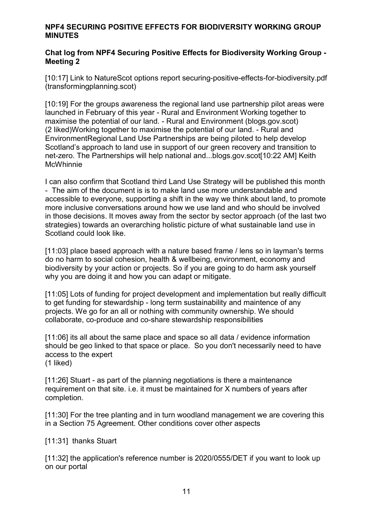### Chat log from NPF4 Securing Positive Effects for Biodiversity Working Group - Meeting 2

[10:17] Link to NatureScot options report securing-positive-effects-for-biodiversity.pdf (transformingplanning.scot)

[10:19] For the groups awareness the regional land use partnership pilot areas were launched in February of this year - Rural and Environment Working together to maximise the potential of our land. - Rural and Environment (blogs.gov.scot) (2 liked)Working together to maximise the potential of our land. - Rural and EnvironmentRegional Land Use Partnerships are being piloted to help develop Scotland's approach to land use in support of our green recovery and transition to net-zero. The Partnerships will help national and...blogs.gov.scot[10:22 AM] Keith McWhinnie

I can also confirm that Scotland third Land Use Strategy will be published this month - The aim of the document is is to make land use more understandable and accessible to everyone, supporting a shift in the way we think about land, to promote more inclusive conversations around how we use land and who should be involved in those decisions. It moves away from the sector by sector approach (of the last two strategies) towards an overarching holistic picture of what sustainable land use in Scotland could look like.

[11:03] place based approach with a nature based frame / lens so in layman's terms do no harm to social cohesion, health & wellbeing, environment, economy and biodiversity by your action or projects. So if you are going to do harm ask yourself why you are doing it and how you can adapt or mitigate.

[11:05] Lots of funding for project development and implementation but really difficult to get funding for stewardship - long term sustainability and maintence of any projects. We go for an all or nothing with community ownership. We should collaborate, co-produce and co-share stewardship responsibilities

[11:06] its all about the same place and space so all data / evidence information should be geo linked to that space or place. So you don't necessarily need to have access to the expert (1 liked)

[11:26] Stuart - as part of the planning negotiations is there a maintenance requirement on that site. i.e. it must be maintained for X numbers of years after completion.

[11:30] For the tree planting and in turn woodland management we are covering this in a Section 75 Agreement. Other conditions cover other aspects

[11:31] thanks Stuart

[11:32] the application's reference number is 2020/0555/DET if you want to look up on our portal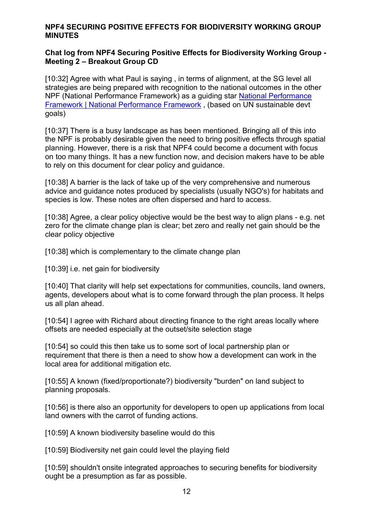### Chat log from NPF4 Securing Positive Effects for Biodiversity Working Group - Meeting 2 – Breakout Group CD

[10:32] Agree with what Paul is saying, in terms of alignment, at the SG level all strategies are being prepared with recognition to the national outcomes in the other NPF (National Performance Framework) as a guiding star National Performance Framework | National Performance Framework , (based on UN sustainable devt goals)

[10:37] There is a busy landscape as has been mentioned. Bringing all of this into the NPF is probably desirable given the need to bring positive effects through spatial planning. However, there is a risk that NPF4 could become a document with focus on too many things. It has a new function now, and decision makers have to be able to rely on this document for clear policy and guidance.

[10:38] A barrier is the lack of take up of the very comprehensive and numerous advice and guidance notes produced by specialists (usually NGO's) for habitats and species is low. These notes are often dispersed and hard to access.

[10:38] Agree, a clear policy objective would be the best way to align plans - e.g. net zero for the climate change plan is clear; bet zero and really net gain should be the clear policy objective

[10:38] which is complementary to the climate change plan

[10:39] i.e. net gain for biodiversity

[10:40] That clarity will help set expectations for communities, councils, land owners, agents, developers about what is to come forward through the plan process. It helps us all plan ahead.

[10:54] I agree with Richard about directing finance to the right areas locally where offsets are needed especially at the outset/site selection stage

[10:54] so could this then take us to some sort of local partnership plan or requirement that there is then a need to show how a development can work in the local area for additional mitigation etc.

[10:55] A known (fixed/proportionate?) biodiversity "burden" on land subject to planning proposals.

[10:56] is there also an opportunity for developers to open up applications from local land owners with the carrot of funding actions.

[10:59] A known biodiversity baseline would do this

[10:59] Biodiversity net gain could level the playing field

[10:59] shouldn't onsite integrated approaches to securing benefits for biodiversity ought be a presumption as far as possible.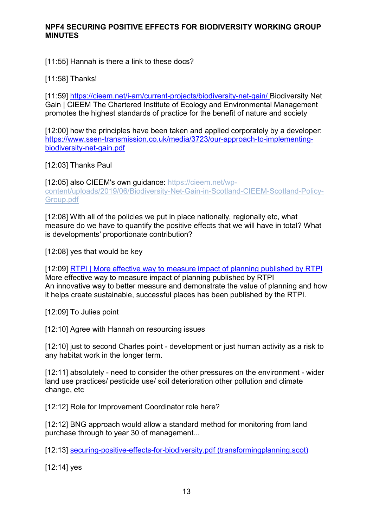[11:55] Hannah is there a link to these docs?

[11:58] Thanks!

[11:59] https://cieem.net/i-am/current-projects/biodiversity-net-gain/ Biodiversity Net Gain | CIEEM The Chartered Institute of Ecology and Environmental Management promotes the highest standards of practice for the benefit of nature and society

[12:00] how the principles have been taken and applied corporately by a developer: https://www.ssen-transmission.co.uk/media/3723/our-approach-to-implementingbiodiversity-net-gain.pdf

[12:03] Thanks Paul

[12:05] also CIEEM's own quidance: https://cieem.net/wpcontent/uploads/2019/06/Biodiversity-Net-Gain-in-Scotland-CIEEM-Scotland-Policy-Group.pdf

[12:08] With all of the policies we put in place nationally, regionally etc, what measure do we have to quantify the positive effects that we will have in total? What is developments' proportionate contribution?

[12:08] yes that would be key

[12:09] RTPI | More effective way to measure impact of planning published by RTPI More effective way to measure impact of planning published by RTPI An innovative way to better measure and demonstrate the value of planning and how it helps create sustainable, successful places has been published by the RTPI.

[12:09] To Julies point

[12:10] Agree with Hannah on resourcing issues

[12:10] just to second Charles point - development or just human activity as a risk to any habitat work in the longer term.

[12:11] absolutely - need to consider the other pressures on the environment - wider land use practices/ pesticide use/ soil deterioration other pollution and climate change, etc

[12:12] Role for Improvement Coordinator role here?

[12:12] BNG approach would allow a standard method for monitoring from land purchase through to year 30 of management...

[12:13] securing-positive-effects-for-biodiversity.pdf (transformingplanning.scot)

[12:14] yes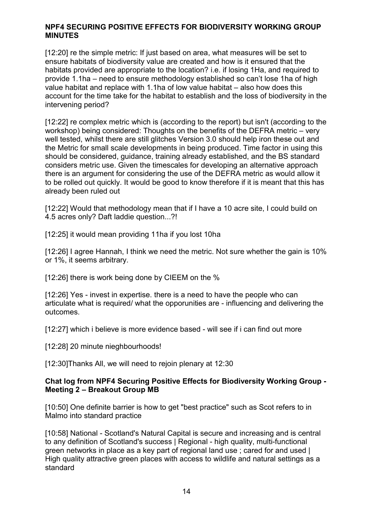[12:20] re the simple metric: If just based on area, what measures will be set to ensure habitats of biodiversity value are created and how is it ensured that the habitats provided are appropriate to the location? i.e. if losing 1Ha, and required to provide 1.1ha – need to ensure methodology established so can't lose 1ha of high value habitat and replace with 1.1ha of low value habitat – also how does this account for the time take for the habitat to establish and the loss of biodiversity in the intervening period?

[12:22] re complex metric which is (according to the report) but isn't (according to the workshop) being considered: Thoughts on the benefits of the DEFRA metric – very well tested, whilst there are still glitches Version 3.0 should help iron these out and the Metric for small scale developments in being produced. Time factor in using this should be considered, guidance, training already established, and the BS standard considers metric use. Given the timescales for developing an alternative approach there is an argument for considering the use of the DEFRA metric as would allow it to be rolled out quickly. It would be good to know therefore if it is meant that this has already been ruled out

[12:22] Would that methodology mean that if I have a 10 acre site, I could build on 4.5 acres only? Daft laddie question...?!

[12:25] it would mean providing 11ha if you lost 10ha

[12:26] I agree Hannah, I think we need the metric. Not sure whether the gain is 10% or 1%, it seems arbitrary.

[12:26] there is work being done by CIEEM on the %

[12:26] Yes - invest in expertise. there is a need to have the people who can articulate what is required/ what the opporunities are - influencing and delivering the outcomes.

[12:27] which i believe is more evidence based - will see if i can find out more

[12:28] 20 minute nieghbourhoods!

[12:30]Thanks All, we will need to rejoin plenary at 12:30

### Chat log from NPF4 Securing Positive Effects for Biodiversity Working Group - Meeting 2 – Breakout Group MB

[10:50] One definite barrier is how to get "best practice" such as Scot refers to in Malmo into standard practice

[10:58] National - Scotland's Natural Capital is secure and increasing and is central to any definition of Scotland's success | Regional - high quality, multi-functional green networks in place as a key part of regional land use ; cared for and used | High quality attractive green places with access to wildlife and natural settings as a standard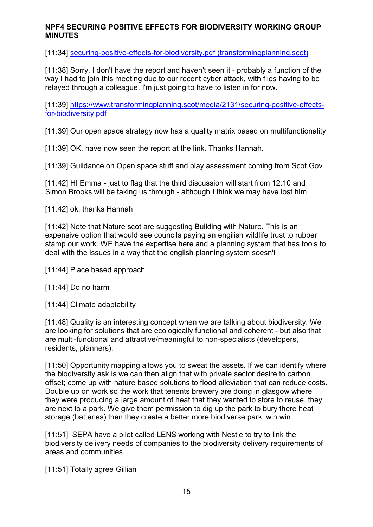[11:34] securing-positive-effects-for-biodiversity.pdf (transformingplanning.scot)

[11:38] Sorry, I don't have the report and haven't seen it - probably a function of the way I had to join this meeting due to our recent cyber attack, with files having to be relayed through a colleague. I'm just going to have to listen in for now.

[11:39] https://www.transformingplanning.scot/media/2131/securing-positive-effectsfor-biodiversity.pdf

[11:39] Our open space strategy now has a quality matrix based on multifunctionality

[11:39] OK, have now seen the report at the link. Thanks Hannah.

[11:39] Guiidance on Open space stuff and play assessment coming from Scot Gov

[11:42] HI Emma - just to flag that the third discussion will start from 12:10 and Simon Brooks will be taking us through - although I think we may have lost him

[11:42] ok, thanks Hannah

[11:42] Note that Nature scot are suggesting Building with Nature. This is an expensive option that would see councils paying an engilish wildlife trust to rubber stamp our work. WE have the expertise here and a planning system that has tools to deal with the issues in a way that the english planning system soesn't

[11:44] Place based approach

[11:44] Do no harm

[11:44] Climate adaptability

[11:48] Quality is an interesting concept when we are talking about biodiversity. We are looking for solutions that are ecologically functional and coherent - but also that are multi-functional and attractive/meaningful to non-specialists (developers, residents, planners).

[11:50] Opportunity mapping allows you to sweat the assets. If we can identify where the biodiversity ask is we can then align that with private sector desire to carbon offset; come up with nature based solutions to flood alleviation that can reduce costs. Double up on work so the work that tenents brewery are doing in glasgow where they were producing a large amount of heat that they wanted to store to reuse. they are next to a park. We give them permission to dig up the park to bury there heat storage (batteries) then they create a better more biodiverse park. win win

[11:51] SEPA have a pilot called LENS working with Nestle to try to link the biodiversity delivery needs of companies to the biodiversity delivery requirements of areas and communities

[11:51] Totally agree Gillian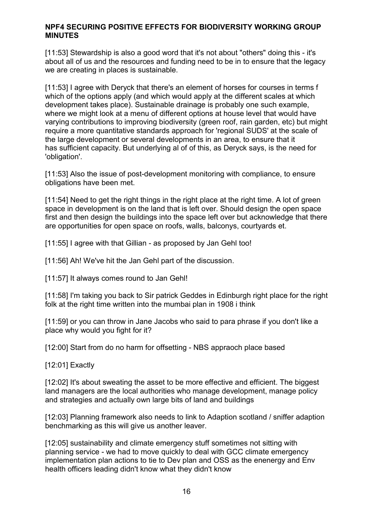[11:53] Stewardship is also a good word that it's not about "others" doing this - it's about all of us and the resources and funding need to be in to ensure that the legacy we are creating in places is sustainable.

[11:53] I agree with Deryck that there's an element of horses for courses in terms f which of the options apply (and which would apply at the different scales at which development takes place). Sustainable drainage is probably one such example, where we might look at a menu of different options at house level that would have varying contributions to improving biodiversity (green roof, rain garden, etc) but might require a more quantitative standards approach for 'regional SUDS' at the scale of the large development or several developments in an area, to ensure that it has sufficient capacity. But underlying al of of this, as Deryck says, is the need for 'obligation'.

[11:53] Also the issue of post-development monitoring with compliance, to ensure obligations have been met.

[11:54] Need to get the right things in the right place at the right time. A lot of green space in development is on the land that is left over. Should design the open space first and then design the buildings into the space left over but acknowledge that there are opportunities for open space on roofs, walls, balconys, courtyards et.

[11:55] I agree with that Gillian - as proposed by Jan Gehl too!

[11:56] Ah! We've hit the Jan Gehl part of the discussion.

[11:57] It always comes round to Jan Gehl!

[11:58] I'm taking you back to Sir patrick Geddes in Edinburgh right place for the right folk at the right time written into the mumbai plan in 1908 i think

[11:59] or you can throw in Jane Jacobs who said to para phrase if you don't like a place why would you fight for it?

[12:00] Start from do no harm for offsetting - NBS appraoch place based

[12:01] Exactly

[12:02] It's about sweating the asset to be more effective and efficient. The biggest land managers are the local authorities who manage development, manage policy and strategies and actually own large bits of land and buildings

[12:03] Planning framework also needs to link to Adaption scotland / sniffer adaption benchmarking as this will give us another leaver.

[12:05] sustainability and climate emergency stuff sometimes not sitting with planning service - we had to move quickly to deal with GCC climate emergency implementation plan actions to tie to Dev plan and OSS as the enenergy and Env health officers leading didn't know what they didn't know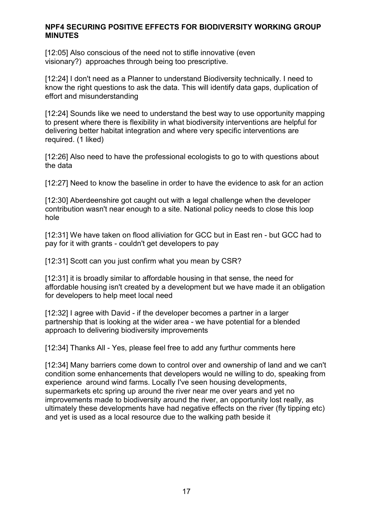[12:05] Also conscious of the need not to stifle innovative (even visionary?) approaches through being too prescriptive.

[12:24] I don't need as a Planner to understand Biodiversity technically. I need to know the right questions to ask the data. This will identify data gaps, duplication of effort and misunderstanding

[12:24] Sounds like we need to understand the best way to use opportunity mapping to present where there is flexibility in what biodiversity interventions are helpful for delivering better habitat integration and where very specific interventions are required. (1 liked)

[12:26] Also need to have the professional ecologists to go to with questions about the data

[12:27] Need to know the baseline in order to have the evidence to ask for an action

[12:30] Aberdeenshire got caught out with a legal challenge when the developer contribution wasn't near enough to a site. National policy needs to close this loop hole

[12:31] We have taken on flood alliviation for GCC but in East ren - but GCC had to pay for it with grants - couldn't get developers to pay

[12:31] Scott can you just confirm what you mean by CSR?

[12:31] it is broadly similar to affordable housing in that sense, the need for affordable housing isn't created by a development but we have made it an obligation for developers to help meet local need

[12:32] I agree with David - if the developer becomes a partner in a larger partnership that is looking at the wider area - we have potential for a blended approach to delivering biodiversity improvements

[12:34] Thanks All - Yes, please feel free to add any furthur comments here

[12:34] Many barriers come down to control over and ownership of land and we can't condition some enhancements that developers would ne willing to do, speaking from experience around wind farms. Locally I've seen housing developments, supermarkets etc spring up around the river near me over years and yet no improvements made to biodiversity around the river, an opportunity lost really, as ultimately these developments have had negative effects on the river (fly tipping etc) and yet is used as a local resource due to the walking path beside it